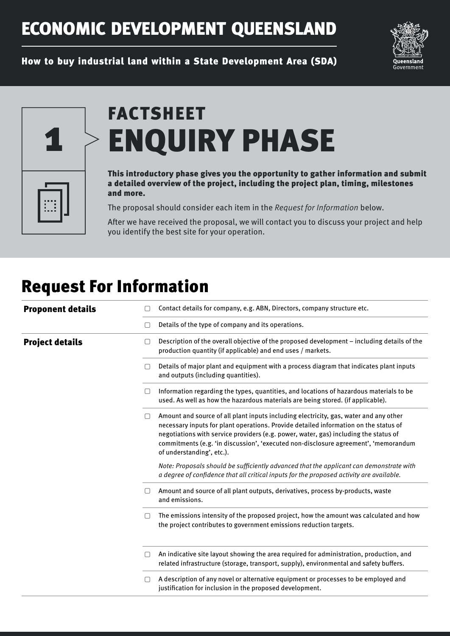## ECONOMIC DEVELOPMENT QUEENSLAND



How to buy industrial land within a State Development Area (SDA)



# FACTSHEET ENQUIRY PHASE

#### This introductory phase gives you the opportunity to gather information and submit a detailed overview of the project, including the project plan, timing, milestones and more.

The proposal should consider each item in the Request for Information below.

After we have received the proposal, we will contact you to discuss your project and help you identify the best site for your operation.

### Request For Information

| <b>Proponent details</b> | Contact details for company, e.g. ABN, Directors, company structure etc.                                                                                                                                                                                                                                                                                                                            |
|--------------------------|-----------------------------------------------------------------------------------------------------------------------------------------------------------------------------------------------------------------------------------------------------------------------------------------------------------------------------------------------------------------------------------------------------|
|                          | Details of the type of company and its operations.<br>$\Box$                                                                                                                                                                                                                                                                                                                                        |
| <b>Project details</b>   | Description of the overall objective of the proposed development - including details of the<br>$\Box$<br>production quantity (if applicable) and end uses / markets.                                                                                                                                                                                                                                |
|                          | Details of major plant and equipment with a process diagram that indicates plant inputs<br>and outputs (including quantities).                                                                                                                                                                                                                                                                      |
|                          | Information regarding the types, quantities, and locations of hazardous materials to be<br>∩<br>used. As well as how the hazardous materials are being stored. (if applicable).                                                                                                                                                                                                                     |
|                          | Amount and source of all plant inputs including electricity, gas, water and any other<br>$\Box$<br>necessary inputs for plant operations. Provide detailed information on the status of<br>negotiations with service providers (e.g. power, water, gas) including the status of<br>commitments (e.g. 'in discussion', 'executed non-disclosure agreement', 'memorandum<br>of understanding', etc.). |
|                          | Note: Proposals should be sufficiently advanced that the applicant can demonstrate with<br>a degree of confidence that all critical inputs for the proposed activity are available.                                                                                                                                                                                                                 |
|                          | Amount and source of all plant outputs, derivatives, process by-products, waste<br>and emissions.                                                                                                                                                                                                                                                                                                   |
|                          | The emissions intensity of the proposed project, how the amount was calculated and how<br>$\Box$<br>the project contributes to government emissions reduction targets.                                                                                                                                                                                                                              |
|                          | An indicative site layout showing the area required for administration, production, and<br>related infrastructure (storage, transport, supply), environmental and safety buffers.                                                                                                                                                                                                                   |
|                          | A description of any novel or alternative equipment or processes to be employed and<br>$\Box$<br>justification for inclusion in the proposed development.                                                                                                                                                                                                                                           |
|                          |                                                                                                                                                                                                                                                                                                                                                                                                     |